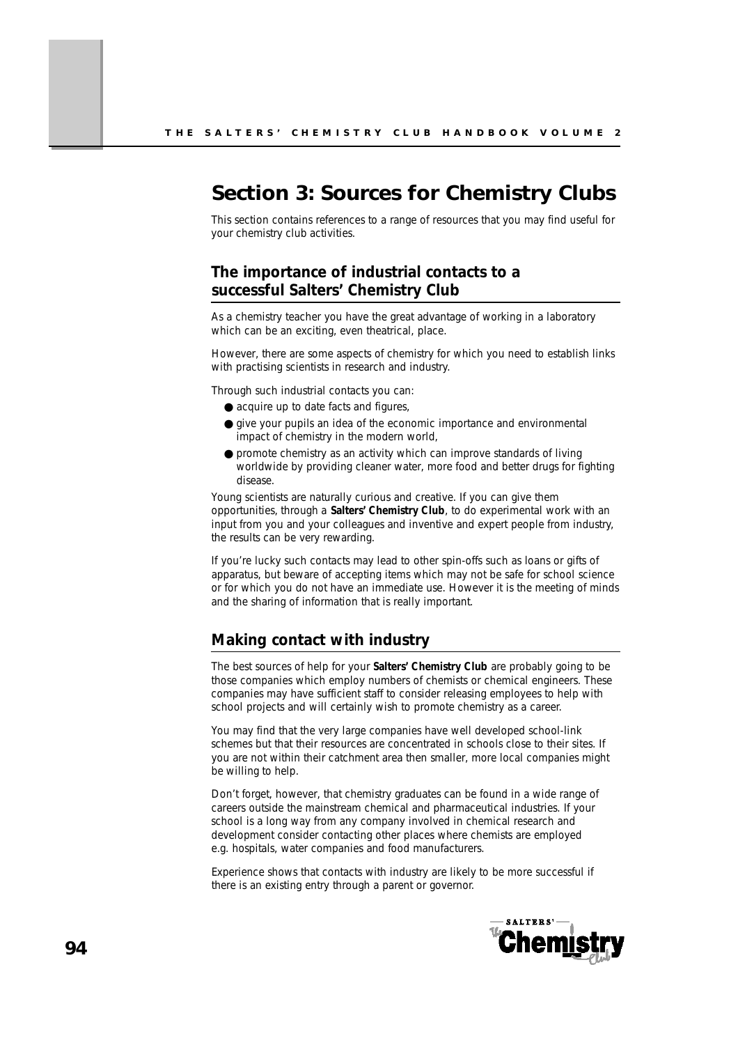# **Section 3: Sources for Chemistry Clubs**

This section contains references to a range of resources that you may find useful for your chemistry club activities.

# **The importance of industrial contacts to a successful Salters' Chemistry Club**

As a chemistry teacher you have the great advantage of working in a laboratory which can be an exciting, even theatrical, place.

However, there are some aspects of chemistry for which you need to establish links with practising scientists in research and industry.

Through such industrial contacts you can:

- acquire up to date facts and figures,
- give your pupils an idea of the economic importance and environmental impact of chemistry in the modern world,
- promote chemistry as an activity which can improve standards of living worldwide by providing cleaner water, more food and better drugs for fighting disease.

Young scientists are naturally curious and creative. If you can give them opportunities, through a **Salters' Chemistry Club**, to do experimental work with an input from you and your colleagues and inventive and expert people from industry, the results can be very rewarding.

If you're lucky such contacts may lead to other spin-offs such as loans or gifts of apparatus, but beware of accepting items which may not be safe for school science or for which you do not have an immediate use. However it is the meeting of minds and the sharing of information that is really important.

### **Making contact with industry**

The best sources of help for your **Salters' Chemistry Club** are probably going to be those companies which employ numbers of chemists or chemical engineers. These companies may have sufficient staff to consider releasing employees to help with school projects and will certainly wish to promote chemistry as a career.

You may find that the very large companies have well developed school-link schemes but that their resources are concentrated in schools close to their sites. If you are not within their catchment area then smaller, more local companies might be willing to help.

Don't forget, however, that chemistry graduates can be found in a wide range of careers outside the mainstream chemical and pharmaceutical industries. If your school is a long way from any company involved in chemical research and development consider contacting other places where chemists are employed e.g. hospitals, water companies and food manufacturers.

Experience shows that contacts with industry are likely to be more successful if there is an existing entry through a parent or governor.

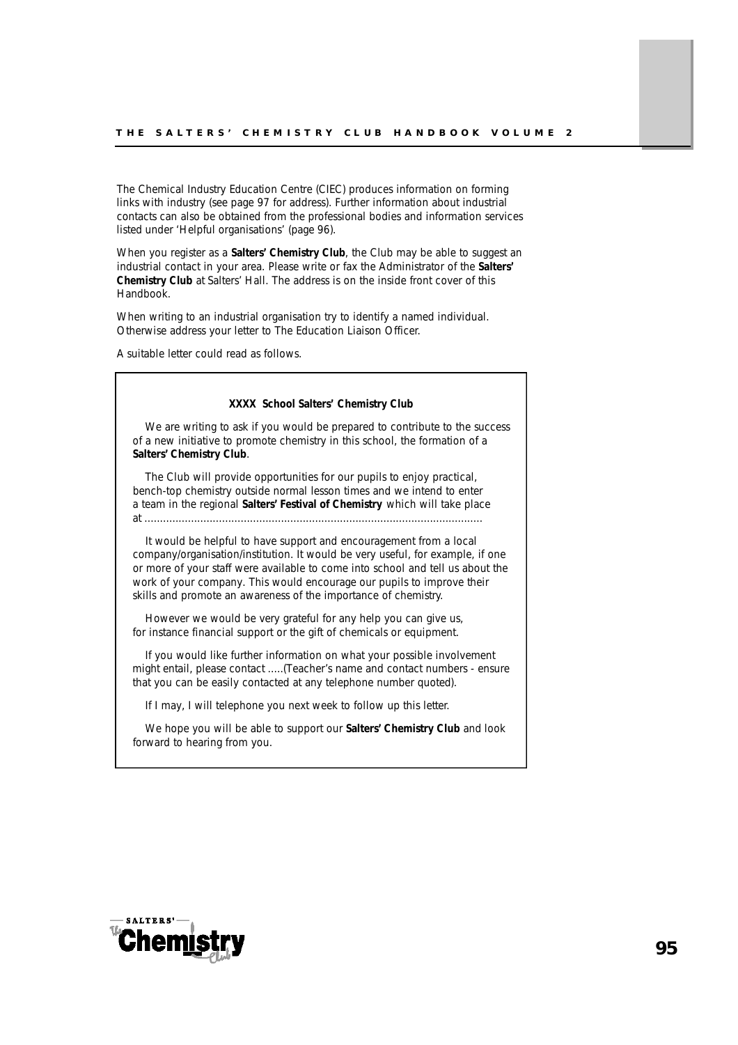The Chemical Industry Education Centre (CIEC) produces information on forming links with industry (see page 97 for address). Further information about industrial contacts can also be obtained from the professional bodies and information services listed under 'Helpful organisations' (page 96).

When you register as a **Salters' Chemistry Club**, the Club may be able to suggest an industrial contact in your area. Please write or fax the Administrator of the **Salters' Chemistry Club** at Salters' Hall. The address is on the inside front cover of this Handbook.

When writing to an industrial organisation try to identify a named individual. Otherwise address your letter to The Education Liaison Officer.

A suitable letter could read as follows.

| XXXX School Salters' Chemistry Club                                                                                                                                                                                                                                                                                                                                                 |  |  |
|-------------------------------------------------------------------------------------------------------------------------------------------------------------------------------------------------------------------------------------------------------------------------------------------------------------------------------------------------------------------------------------|--|--|
| We are writing to ask if you would be prepared to contribute to the success<br>of a new initiative to promote chemistry in this school, the formation of a<br>Salters' Chemistry Club.                                                                                                                                                                                              |  |  |
| The Club will provide opportunities for our pupils to enjoy practical,<br>bench-top chemistry outside normal lesson times and we intend to enter<br>a team in the regional Salters' Festival of Chemistry which will take place                                                                                                                                                     |  |  |
| It would be helpful to have support and encouragement from a local<br>company/organisation/institution. It would be very useful, for example, if one<br>or more of your staff were available to come into school and tell us about the<br>work of your company. This would encourage our pupils to improve their<br>skills and promote an awareness of the importance of chemistry. |  |  |
| However we would be very grateful for any help you can give us,<br>for instance financial support or the gift of chemicals or equipment.                                                                                                                                                                                                                                            |  |  |

If you would like further information on what your possible involvement might entail, please contact .....(Teacher's name and contact numbers - *ensure that you can be easily contacted at any telephone number quoted*).

If I may, I will telephone you next week to follow up this letter.

We hope you will be able to support our **Salters' Chemistry Club** and look forward to hearing from you.

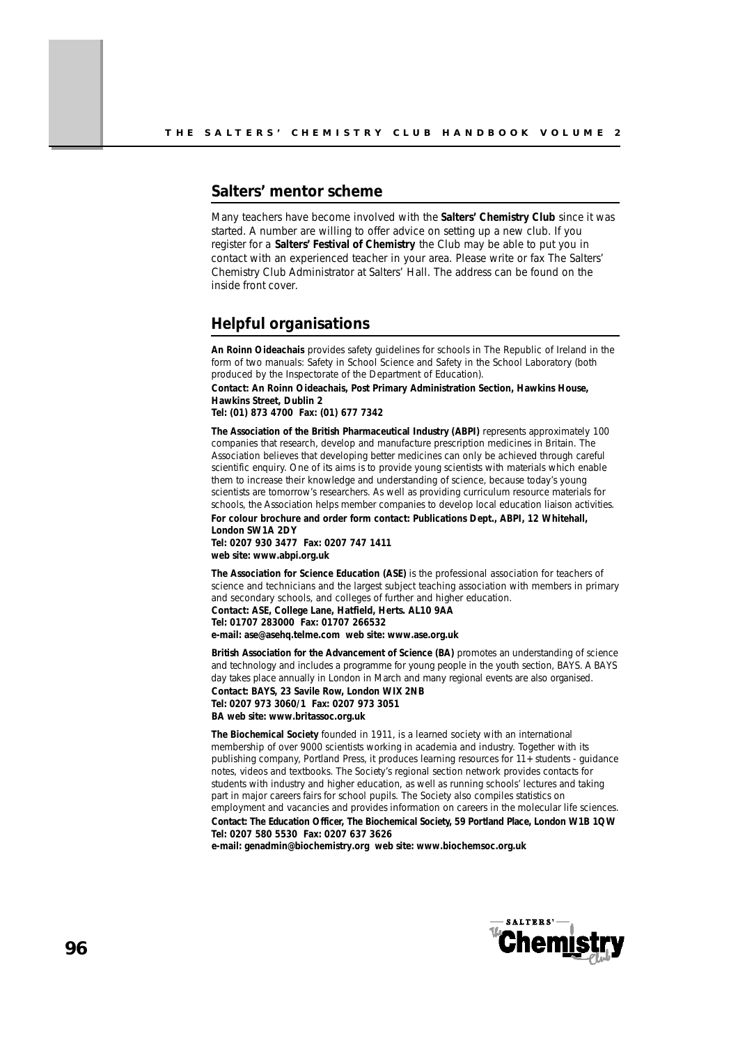### **Salters' mentor scheme**

Many teachers have become involved with the **Salters' Chemistry Club** since it was started. A number are willing to offer advice on setting up a new club. If you register for a **Salters' Festival of Chemistry** the Club may be able to put you in contact with an experienced teacher in your area. Please write or fax The Salters' Chemistry Club Administrator at Salters' Hall. The address can be found on the inside front cover.

### **Helpful organisations**

*An Roinn Oideachais* provides safety guidelines for schools in The Republic of Ireland in the form of two manuals: Safety in School Science and Safety in the School Laboratory (both produced by the Inspectorate of the Department of Education).

**Contact: An Roinn Oideachais, Post Primary Administration Section, Hawkins House, Hawkins Street, Dublin 2** 

**Tel: (01) 873 4700 Fax: (01) 677 7342**

*The Association of the British Pharmaceutical Industry (ABPI)* **represents approximately 100** companies that research, develop and manufacture prescription medicines in Britain. The Association believes that developing better medicines can only be achieved through careful scientific enquiry. One of its aims is to provide young scientists with materials which enable them to increase their knowledge and understanding of science, because today's young scientists are tomorrow's researchers. As well as providing curriculum resource materials for schools, the Association helps member companies to develop local education liaison activities.

**For colour brochure and order form contact: Publications Dept., ABPI, 12 Whitehall, London SW1A 2DY Tel: 0207 930 3477 Fax: 0207 747 1411**

**web site: www.abpi.org.uk**

*The Association for Science Education (ASE)* is the professional association for teachers of science and technicians and the largest subject teaching association with members in primary and secondary schools, and colleges of further and higher education. **Contact: ASE, College Lane, Hatfield, Herts. AL10 9AA Tel: 01707 283000 Fax: 01707 266532 e-mail: ase@asehq.telme.com web site: www.ase.org.uk**

**British Association for the Advancement of Science (BA)** promotes an understanding of science and technology and includes a programme for young people in the youth section, BAYS. A BAYS day takes place annually in London in March and many regional events are also organised. **Contact: BAYS, 23 Savile Row, London WIX 2NB Tel: 0207 973 3060/1 Fax: 0207 973 3051 BA web site: www.britassoc.org.uk**

*The Biochemical Society* founded in 1911, is a learned society with an international membership of over 9000 scientists working in academia and industry. Together with its publishing company, Portland Press, it produces learning resources for 11+ students - guidance notes, videos and textbooks. The Society's regional section network provides contacts for students with industry and higher education, as well as running schools' lectures and taking part in major careers fairs for school pupils. The Society also compiles statistics on employment and vacancies and provides information on careers in the molecular life sciences. Contact: The Education Officer, The Biochemical Society, 59 Portland Place, London W1B 1QW **Tel: 0207 580 5530 Fax: 0207 637 3626** 

**e-mail: genadmin@biochemistry.org web site: www.biochemsoc.org.uk** 

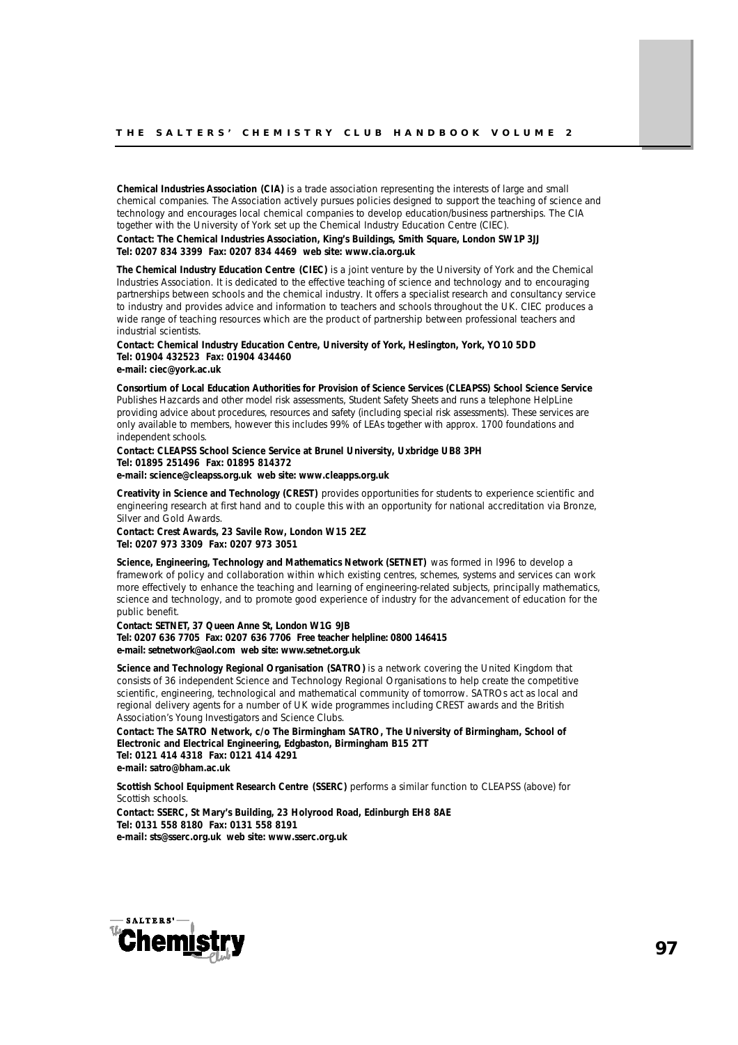*Chemical Industries Association (CIA)* is a trade association representing the interests of large and small chemical companies. The Association actively pursues policies designed to support the teaching of science and technology and encourages local chemical companies to develop education/business partnerships. The CIA together with the University of York set up the Chemical Industry Education Centre (CIEC).

**Contact: The Chemical Industries Association, King's Buildings, Smith Square, London SW1P 3JJ Tel: 0207 834 3399 Fax: 0207 834 4469 web site: www.cia.org.uk**

*The Chemical Industry Education Centre (CIEC)* is a joint venture by the University of York and the Chemical Industries Association. It is dedicated to the effective teaching of science and technology and to encouraging partnerships between schools and the chemical industry. It offers a specialist research and consultancy service to industry and provides advice and information to teachers and schools throughout the UK. CIEC produces a wide range of teaching resources which are the product of partnership between professional teachers and industrial scientists.

**Contact: Chemical Industry Education Centre, University of York, Heslington, York, YO10 5DD Tel: 01904 432523 Fax: 01904 434460 e-mail: ciec@york.ac.uk**

*Consortium of Local Education Authorities for Provision of Science Services (CLEAPSS) School Science Service* Publishes *Hazcards* and other model risk assessments, *Student Safety Sheets* and runs a telephone HelpLine providing advice about procedures, resources and safety (including special risk assessments). These services are only available to members, however this includes 99% of LEAs together with approx. 1700 foundations and independent schools.

**Contact: CLEAPSS School Science Service at Brunel University, Uxbridge UB8 3PH Tel: 01895 251496 Fax: 01895 814372 e-mail: science@cleapss.org.uk web site: www.cleapps.org.uk**

*Creativity in Science and Technology (CREST)* provides opportunities for students to experience scientific and engineering research at first hand and to couple this with an opportunity for national accreditation via Bronze, Silver and Gold Awards.

**Contact: Crest Awards, 23 Savile Row, London W15 2EZ Tel: 0207 973 3309 Fax: 0207 973 3051**

*Science, Engineering, Technology and Mathematics Network (SETNET)* was formed in l996 to develop a framework of policy and collaboration within which existing centres, schemes, systems and services can work more effectively to enhance the teaching and learning of engineering-related subjects, principally mathematics, science and technology, and to promote good experience of industry for the advancement of education for the public benefit.

**Contact: SETNET, 37 Queen Anne St, London W1G 9JB Tel: 0207 636 7705 Fax: 0207 636 7706 Free teacher helpline: 0800 146415**  e-mail: setnetwork@aol.com web site: www.setnet.org.uk

*Science and Technology Regional Organisation (SATRO)* is a network covering the United Kingdom that consists of 36 independent Science and Technology Regional Organisations to help create the competitive scientific, engineering, technological and mathematical community of tomorrow. SATROs act as local and regional delivery agents for a number of UK wide programmes including CREST awards and the British Association's Young Investigators and Science Clubs.

**Contact: The SATRO Network, c/o The Birmingham SATRO, The University of Birmingham, School of Electronic and Electrical Engineering, Edgbaston, Birmingham B15 2TT Tel: 0121 414 4318 Fax: 0121 414 4291 e-mail: satro@bham.ac.uk**

*Scottish School Equipment Research Centre (SSERC)* performs a similar function to CLEAPSS (above) for Scottish schools.

**Contact: SSERC, St Mary's Building, 23 Holyrood Road, Edinburgh EH8 8AE Tel: 0131 558 8180 Fax: 0131 558 8191 e-mail: sts@sserc.org.uk web site: www.sserc.org.uk**

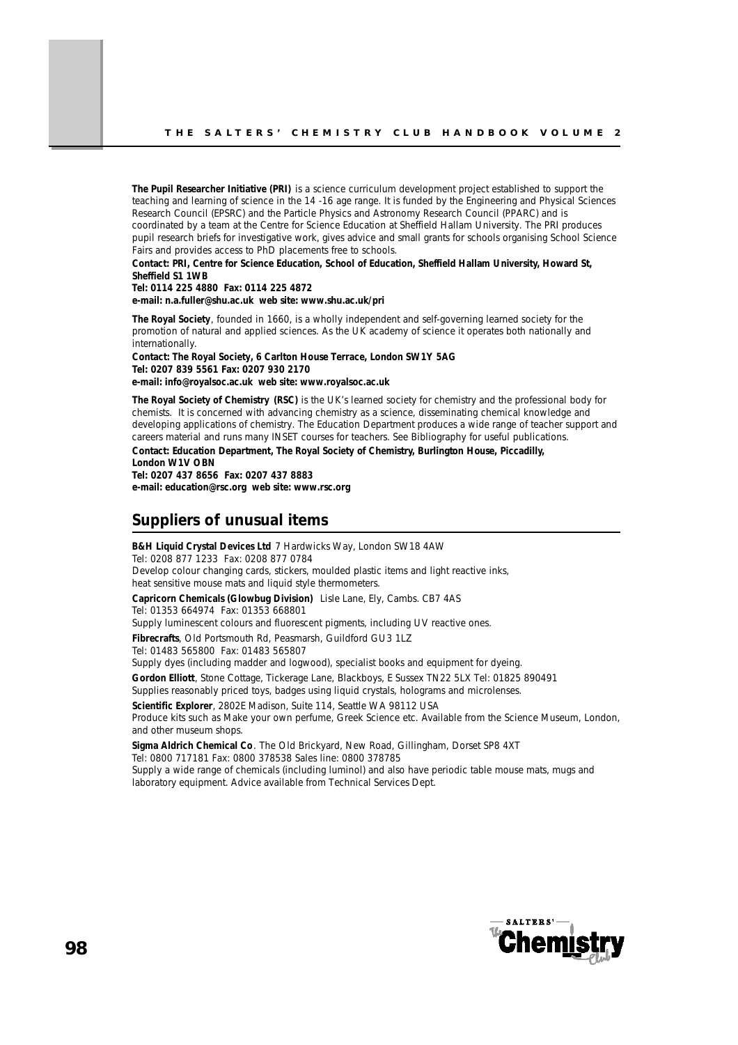*The Pupil Researcher Initiative (PRI)* is a science curriculum development project established to support the teaching and learning of science in the 14 -16 age range. It is funded by the Engineering and Physical Sciences Research Council (EPSRC) and the Particle Physics and Astronomy Research Council (PPARC) and is coordinated by a team at the Centre for Science Education at Sheffield Hallam University. The PRI produces pupil research briefs for investigative work, gives advice and small grants for schools organising School Science Fairs and provides access to PhD placements free to schools.

**Contact: PRI, Centre for Science Education, School of Education, Sheffield Hallam University, Howard St, Sheffield S1 1WB** 

**Tel: 0114 225 4880 Fax: 0114 225 4872** 

**e-mail: n.a.fuller@shu.ac.uk web site: www.shu.ac.uk/pri**

*The Royal Society*, founded in 1660, is a wholly independent and self-governing learned society for the promotion of natural and applied sciences. As the UK academy of science it operates both nationally and internationally.

**Contact: The Royal Society, 6 Carlton House Terrace, London SW1Y 5AG Tel: 0207 839 5561 Fax: 0207 930 2170 e-mail: info@royalsoc.ac.uk web site: www.royalsoc.ac.uk**

*The Royal Society of Chemistry (RSC)* is the UK's learned society for chemistry and the professional body for chemists. It is concerned with advancing chemistry as a science, disseminating chemical knowledge and developing applications of chemistry. The Education Department produces a wide range of teacher support and careers material and runs many INSET courses for teachers. See Bibliography for useful publications. **Contact: Education Department, The Royal Society of Chemistry, Burlington House, Piccadilly, London W1V OBN** 

**Tel: 0207 437 8656 Fax: 0207 437 8883 e-mail: education@rsc.org web site: www.rsc.org**

### **Suppliers of unusual items**

**B&H Liquid Crystal Devices Ltd** 7 Hardwicks Way, London SW18 4AW Tel: 0208 877 1233 Fax: 0208 877 0784 *Develop colour changing cards, stickers, moulded plastic items and light reactive inks, heat sensitive mouse mats and liquid style thermometers.* **Capricorn Chemicals (Glowbug Division)** Lisle Lane, Ely, Cambs. CB7 4AS

Tel: 01353 664974 Fax: 01353 668801

*Supply luminescent colours and fluorescent pigments, including UV reactive ones.*

**Fibrecrafts**, Old Portsmouth Rd, Peasmarsh, Guildford GU3 1LZ Tel: 01483 565800 Fax: 01483 565807

*Supply dyes (including madder and logwood), specialist books and equipment for dyeing.* 

**Gordon Elliott**, Stone Cottage, Tickerage Lane, Blackboys, E Sussex TN22 5LX Tel: 01825 890491 *Supplies reasonably priced toys, badges using liquid crystals, holograms and microlenses.*

**Scientific Explorer**, 2802E Madison, Suite 114, Seattle WA 98112 USA *Produce kits such as Make your own perfume, Greek Science etc. Available from the Science Museum, London, and other museum shops.*

**Sigma Aldrich Chemical Co**. The Old Brickyard, New Road, Gillingham, Dorset SP8 4XT Tel: 0800 717181 Fax: 0800 378538 Sales line: 0800 378785

*Supply a wide range of chemicals (including luminol) and also have periodic table mouse mats, mugs and laboratory equipment. Advice available from Technical Services Dept.*

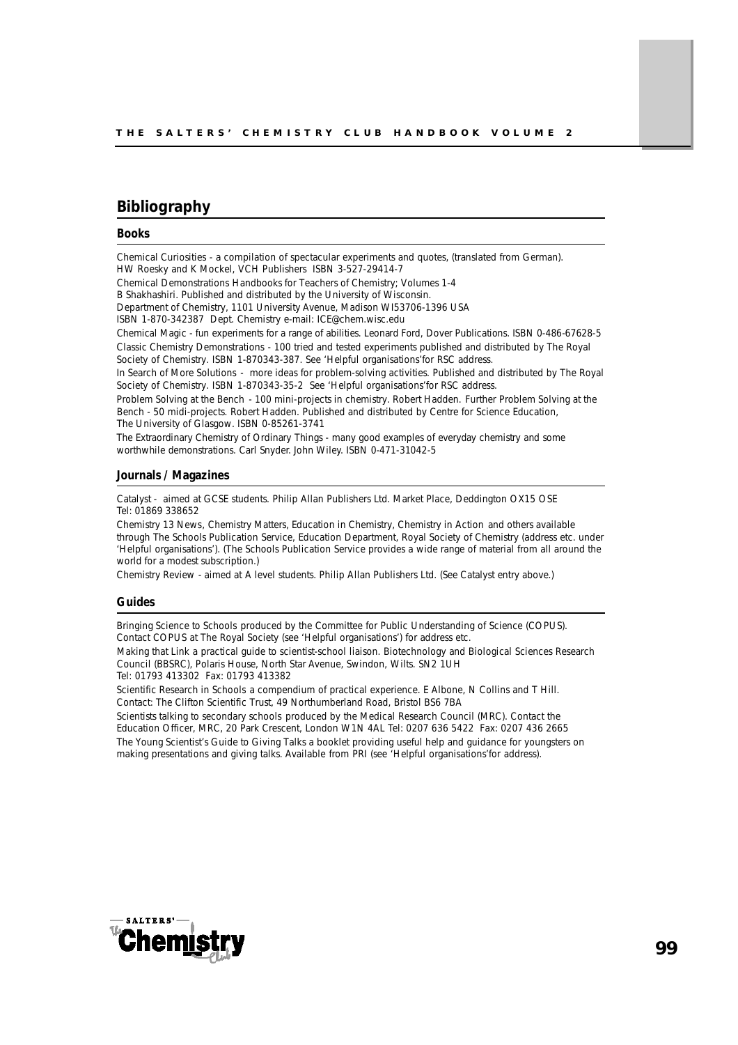### **Bibliography**

### **Books**

*Chemical Curiosities* - a compilation of spectacular experiments and quotes, (translated from German). HW Roesky and K Mockel, VCH Publishers ISBN 3-527-29414-7

*Chemical Demonstrations* Handbooks for Teachers of Chemistry; Volumes 1-4

B Shakhashiri. Published and distributed by the University of Wisconsin.

Department of Chemistry, 1101 University Avenue, Madison WI53706-1396 USA

ISBN 1-870-342387 Dept. Chemistry e-mail: ICE@chem.wisc.edu

*Chemical Magic* - fun experiments for a range of abilities. Leonard Ford, Dover Publications. ISBN 0-486-67628-5 *Classic Chemistry Demonstrations* - 100 tried and tested experiments published and distributed by The Royal Society of Chemistry. ISBN 1-870343-387. See 'Helpful organisations'for RSC address.

*In Search of More Solutions* - more ideas for problem-solving activities. Published and distributed by The Royal Society of Chemistry. ISBN 1-870343-35-2 See 'Helpful organisations'for RSC address.

*Problem Solving at the Bench* - 100 mini-projects in chemistry. Robert Hadden. *Further Problem Solving at the Bench* - 50 midi-projects. Robert Hadden. Published and distributed by Centre for Science Education, The University of Glasgow. ISBN 0-85261-3741

*The Extraordinary Chemistry of Ordinary Things* - many good examples of everyday chemistry and some worthwhile demonstrations. Carl Snyder. John Wiley. ISBN 0-471-31042-5

### **Journals / Magazines**

*Catalyst* - aimed at GCSE students. Philip Allan Publishers Ltd. Market Place, Deddington OX15 OSE Tel: 01869 338652

*Chemistry 13 News*, *Chemistry Matters, Education in Chemistry, Chemistry in Action* and others available through The Schools Publication Service, Education Department, Royal Society of Chemistry (address etc. under 'Helpful organisations'). (The Schools Publication Service provides a wide range of material from all around the world for a modest subscription.)

*Chemistry Review* - aimed at A level students. Philip Allan Publishers Ltd. (See *Catalyst* entry above.)

#### **Guides**

*Bringing Science to Schools* produced by the Committee for Public Understanding of Science (COPUS). Contact COPUS at The Royal Society (see 'Helpful organisations') for address etc.

*Making that Link* a practical guide to scientist-school liaison. Biotechnology and Biological Sciences Research Council (BBSRC), Polaris House, North Star Avenue, Swindon, Wilts. SN2 1UH Tel: 01793 413302 Fax: 01793 413382

*Scientific Research in Schools* a compendium of practical experience. E Albone, N Collins and T Hill. Contact: The Clifton Scientific Trust, 49 Northumberland Road, Bristol BS6 7BA

*Scientists talking to secondary schools* produced by the Medical Research Council (MRC). Contact the Education Officer, MRC, 20 Park Crescent, London W1N 4AL Tel: 0207 636 5422 Fax: 0207 436 2665 *The Young Scientist's Guide to Giving Talks* a booklet providing useful help and guidance for youngsters on making presentations and giving talks. Available from PRI (see 'Helpful organisations'for address).